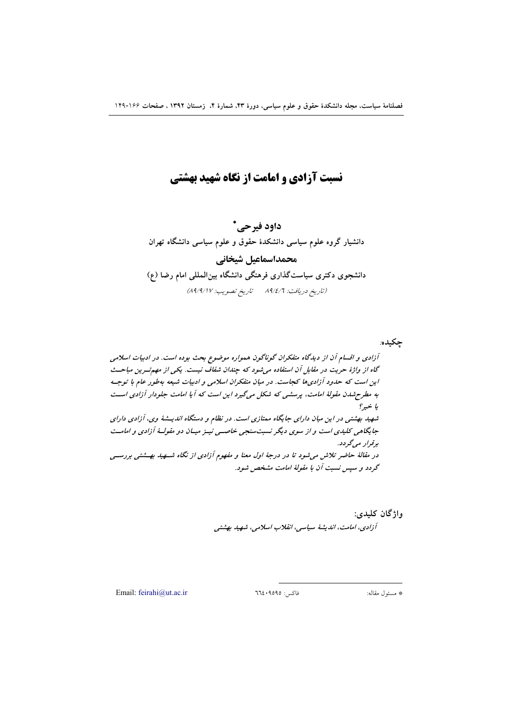# نسبت آزادی و امامت از نگاه شهید بهشتی

داود فيرحى\* دانشیار گروه علوم سیاسی دانشکدهٔ حقوق و علوم سیاسی دانشگاه تهران محمداسماعيل شيخاني دانشجوی دکتری سیاستگذاری فرهنگی دانشگاه بین|لمللی امام رضا (ع) (تاريخ دريافت: 14/٤/٦ - تاريخ تصويب: 41/4/1٧)

واژگان کليدي: آزادی، امامت، اندیشهٔ سیاسی، انقلاب اسلامی، شهید بهشتی

Email: feirahi@ut.ac.ir

فاكس: ٩٥٩٥٩٤٠٦٦٤

\* مسئول مقاله: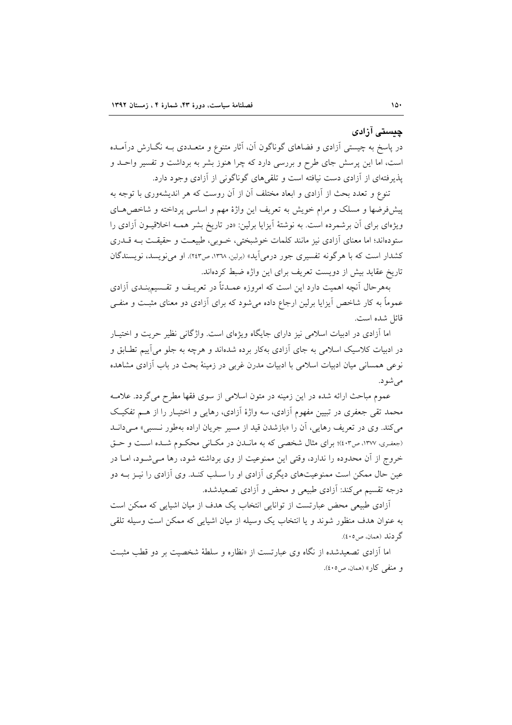## ڇستي آزادي

در پاسخ به چیستی اَزادی و فضاهای گوناگون اَن، اَثار متنوع و متعــددی بــه نگــارش درآمــده است، اما این پرسش جای طرح و بررسی دارد که چرا هنوز بشر به برداشت و تفسیر واحــد و یذیر فتهای از آزادی دست نیافته است و تلقی های گوناگونی از آزادی وجود دارد.

تنوع و تعدد بحث از آزادی و ابعاد مختلف آن از آن روست که هر اندیشهوری با توجه به پیشفروضها و مسلک و مرام خویش به تعریف این واژهٔ مهم و اساسی پرداخته و شاخص هـای ویژهای برای آن برشمرده است. به نوشتهٔ آیزایا برلین: «در تاریخ بشر همـه اخلاقیـون آزادی را ستودهاند؛ اما معنای آزادی نیز مانند کلمات خوشبختی، خـوبی، طبیعـت و حقیقـت بـه قــدری کشدار است که با هر گونه تفسیری جور درمی آید» (برلین، ۱۳۳۸، ص۱۶۳). او می نویسد، نویسندگان تاریخ عقاید بیش از دویست تعریف برای این واژه ضبط کردهاند.

بههرحال أنچه اهمیت دارد این است که امروزه عمــدتاً در تعریــف و تقــسیم؛نــدی آزادی عموماً به کار شاخص آیزایا برلین ارجاع داده می شود که برای آزادی دو معنای مثبت و منفـی قائل شده است.

اما آزادی در ادبیات اسلامی نیز دارای جایگاه ویژهای است. واژگانی نظیر حریت و اختیـار در ادبیات کلاسیک اسلامی به جای آزادی بهکار برده شدهاند و هرچه به جلو می آییم تطـابق و نوعی همسانی میان ادبیات اسلامی با ادبیات مدرن غربی در زمینهٔ بحث در باب آزادی مشاهده مے شو د.

عموم مباحث ارائه شده در این زمینه در متون اسلامی از سوی فقها مطرح میگردد. علامـه محمد تقی جعفری در تبیین مفهوم آزادی، سه واژهٔ آزادی، رهایی و اختیـار را از هـم تفکیـک می کند. وی در تعریف رهایی، آن را «بازشدن قید از مسیر جریان اراده بهطور نسبی» مـیدانـد (جعفري، ١٣٧٧، ص٤٠٣)؛ براي مثال شخصي كه به مانيدن در مكتاني محكوم شيده است و حتى خروج از آن محدوده را ندارد، وقتى اين ممنوعيت از وى برداشته شود، رها مـى شـود، امـا در عین حال ممکن است ممنوعیتهای دیگری آزادی او را سـلب کنـد. وی آزادی را نیــز بــه دو درجه تقسیم می کند: آزادی طبیعی و محض و آزادی تصعیدشده.

آزادی طبیعی محض عبارتست از توانایی انتخاب یک هدف از میان اشپایی که ممکن است به عنوان هدف منظور شوند و يا انتخاب يک وسيله از ميان اشيايي که ممکن است وسيله تلقى گر دند (همان، ص٥٠٥).

اما آزادی تصعیدشده از نگاه وی عبارتست از «نظاره و سلطهٔ شخصیت بر دو قطب مثبت و منفي كار» (همان، ص٥٠٥).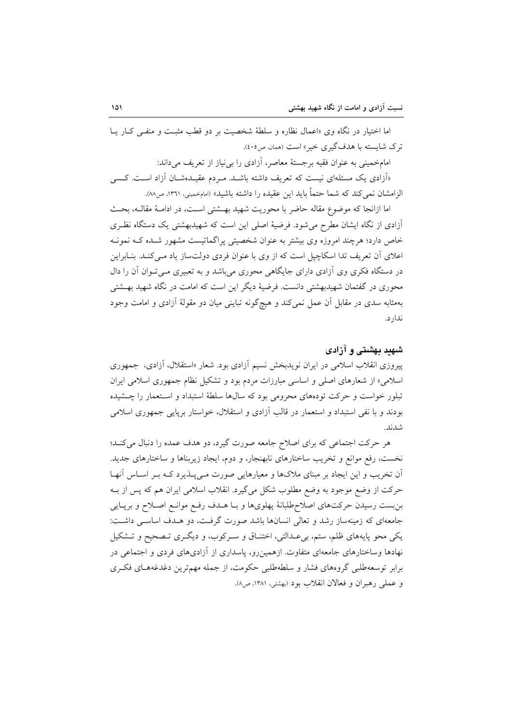اما اختیار در نگاه وی «اعمال نظاره و سلطهٔ شخصیت بر دو قطب مثبت و منفـَّی کـار یــا ترک شایسته با هدفگیری خبر» است (همان، ص٤٠٥).

امامخمینی به عنوان فقیه برجستهٔ معاصر، آزادی را بی نیاز از تعریف می داند:

«اَزادی یک مسئلهای نیست که تعریف داشته باشـد. مـردم عقیـدهشـان اَزاد اسـت. کـسی الزامشان نمي كند كه شما حتماً بايد اين عقيده را داشته باشيد» (امامخميني، ١٣٦١، ص٨٨).

اما ازانجا كه موضوع مقاله حاضر با محوريت شهيد بهـشتى اسـت، در ادامـهٔ مقالـه، بحـث آزادی از نگاه ایشان مطرح می شود. فرضیهٔ اصلی این است که شهیدبهشتی یک دستگاه نظری خاص دارد؛ هرچند امروزه وی بیشتر به عنوان شخصیتی پراگماتیست مشهور شـده کـه نمونـه اعلای آن تعریف تدا اسکاچیل است که از وی با عنوان فردی دولتساز یاد مـیکنـد. بنــابراین در دستگاه فکری وی آزادی دارای جایگاهی محوری میباشد و به تعبیری مـیتوان آن را دال محوری در گفتمان شهیدبهشتی دانست. فرضیهٔ دیگر این است که امامت در نگاه شهید بهـشتی بهمثابه سدی در مقابل آن عمل نمی کند و هیچگونه تباینی میان دو مقولهٔ آزادی و امامت وجود ندار د.

## شهید بهشتی و آزادی

پیروزی انقلاب اسلامی در ایران نویدبخش نسیم آزادی بود. شعار «استقلال، آزادی، جمهوری اسلامی» از شعارهای اصلی و اساسی مبارزات مردم بود و تشکیل نظام جمهوری اسلامی ایران تبلور خواست و حرکت تودههای محرومی بود که سالها سلطهٔ استبداد و استعمار را چـشیده بودند و با نفی استبداد و استعمار در قالب آزادی و استقلال، خواستار برپایی جمهوری اسلامی شدند.

هر حرکت اجتماعی که برای اصلاح جامعه صورت گیرد، دو هدف عمده را دنبال میکند؛ نخست، رفع موانع و تخریب ساختارهای نابهنجار، و دوم، ایجاد زیربناها و ساختارهای جدید. ان تخریب و این ایجاد بر مبنای ملاکها و معیارهایی صورت مـیپــذیرد کـه بـر اسـاس آنهـا حرکت از وضع موجود به وضع مطلوب شکل میگیرد. انقلاب اسلامی ایران هم که پس از بـه بن بست رسیدن حرکتهای اصلاح طلبانهٔ پهلویها و بـا هــدف رفـع موانـع اصــلاح و برپــایی جامعهای که زمینهساز رشد و تعالی انسانها باشد صورت گرفت، دو هــدف اساســی داشــت: یکی محو پایههای ظلم، ستم، بی عـدالتی، اختنـاق و سـرکوب، و دیگـری تـصحیح و تـشکیل نهادها وساختارهای جامعهای متفاوت. ازهمین رو، پاسداری از آزادیهای فردی و اجتماعی در برابر توسعهطلبی گروههای فشار و سلطهطلبی حکومت، از جمله مهمترین دغدغههـای فکـری و عملي رهبران و فعالان انقلاب بود (بهشتي، ١٣٨١، ص٨).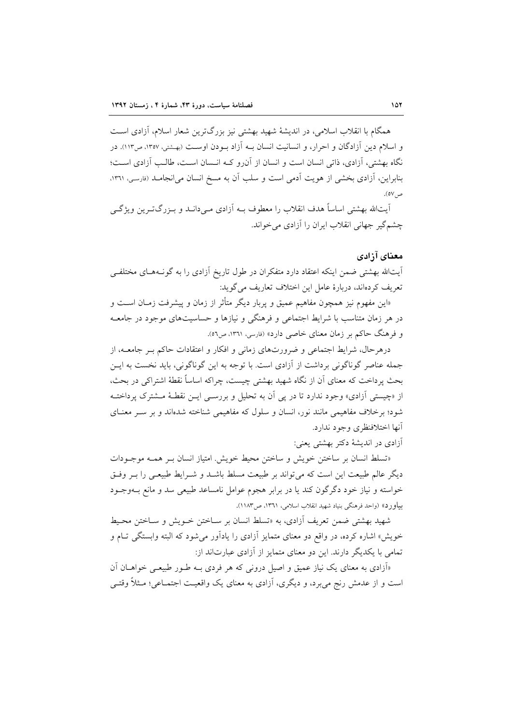همگام با انقلاب اسلامی، در اندیشهٔ شهید بهشتی نیز بزرگترین شعار اسلام، آزادی است و اسلام دین آزادگان و احرار، و انسانیت انسان به آزاد بودن اوست (پهشتی، ۱۳۵۷، ص۱۱۳). در نگاه بهشتی، آزادی، ذاتی انسان است و انسان از آن(و کـه انـسان اسـت، طالـب آزادی اسـت؛ بنابراین، آزادی بخشی از هویت آدمی است و سلب آن به مسخ انسان می انجامـد (فارسی، ۱۳۶۱، ص ٥٧).

آيتالله بهشتي اساساً هدف انقلاب را معطوف بــه آزادي مــي دانــد و بــزرگتــرين ويژگــي چشمگیر جهانی انقلاب ایران را آزادی می خواند.

## معناي آزادي

أيتالله بهشتى ضمن اينكه اعتقاد دارد متفكران در طول تاريخ أزادي را به گونــههــاي مختلفــي تعريف كردهاند، دربارة عامل اين اختلاف تعاريف مي گويد:

«این مفهوم نیز همچون مفاهیم عمیق و پربار دیگر متأثر از زمان و پیشرفت زمـان اسـت و در هر زمان متناسب با شرایط اجتماعی و فرهنگی و نیازها و حساسیتهای موجود در جامعـه و فرهنگ حاکم بر زمان معنای خاصی دارد» (فارسی، ۱۳٦۱، ص٥٦).

درهرحال، شرایط اجتماعی و ضرورتهای زمانی و افکار و اعتقادات حاکم بـر جامعــه، از جمله عناصر گوناگونی برداشت از آزادی است. با توجه به این گوناگونی، باید نخست به ایــن بحث پرداخت که معنای آن از نگاه شهید بهشتی چیست، چراکه اساساً نقطهٔ اشتراکی در بحث، از «چیستی آزادی» وجود ندارد تا در پی آن به تحلیل و بررســی ایــن نقطــهٔ مــشترک پرداختــه شود؛ برخلاف مفاهیمی مانند نور، انسان و سلول که مفاهیمی شناخته شدهاند و بر سـر معنـای آنها اختلافنظري وجود ندارد.

آزادي در انديشهٔ دکتر بهشتي يعني:

«تسلط انسان بر ساختن خويش و ساختن محيط خويش. امتياز انسان بـر همـه موجـودات دیگر عالم طبیعت این است که می تواند بر طبیعت مسلط باشـد و شـرایط طبیعـی را بـر وفـق خواسته و نیاز خود دگر گون کند یا در برابر هجوم عوامل نامساعد طبیعی سد و مانع بــهوجــود بياورد» (واحد فرهنگي بنياد شهيد انقلاب اسلامي، ١٣٦١، ص١١٨٣).

شهید بهشتی ضمن تعریف آزادی، به «تسلط انسان بر سـاختن خــویش و سـاختن محـیط خویش» اشاره کرده، در واقع دو معنای متمایز آزادی را یادآور می شود که البته وابستگی تـام و تمامی با یکدیگر دارند. این دو معنای متمایز از آزادی عبارتاند از:

«اَزادی به معنای یک نیاز عمیق و اصیل درونی که هر فردی بـه طـور طبیعـی خواهــان آن است و از عدمش رنج می برد، و دیگری، آزادی به معنای یک واقعیت اجتمــاعی؛ مــثلاً وقتــی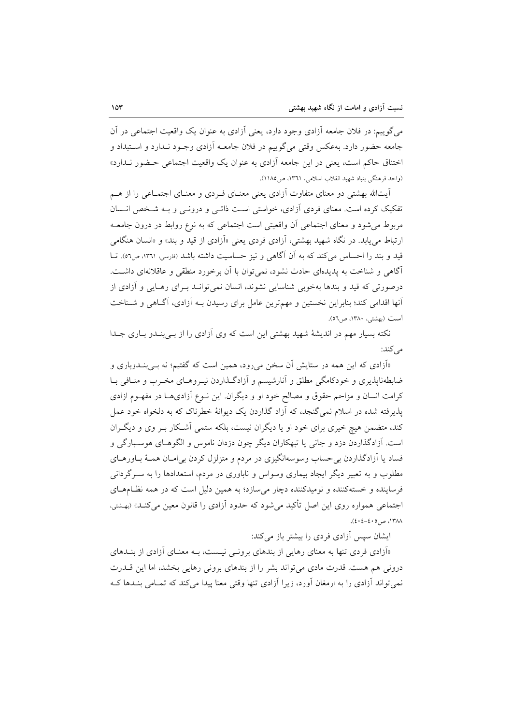می گوییم: در فلان جامعه آزادی وجود دارد، یعنی آزادی به عنوان یک واقعیت اجتماعی در آن جامعه حضور دارد. بهعکس وقتی میگوییم در فلان جامعـه آزادی وجـود نـدارد و اسـتبداد و اختناق حاکم است، یعنی در این جامعه آزادی به عنوان یک واقعیت اجتماعی حـضور نـدارد» (واحد فرهنگی بنیاد شهید انقلاب اسلامی، ۱۳٦۱، ص۱۸۵).

آیتالله بهشتی دو معنای متفاوت آزادی یعنی معنـای فـردی و معنـای اجتمـاعی را از هـم تفکیک کرده است. معنای فردی آزادی، خواستی است ذاتـی و درونـی و بـه شـخص انـسان مربوط می شود و معنای اجتماعی آن واقعیتی است اجتماعی که به نوع روابط در درون جامعـه ارتباط مي يابد. در نگاه شهيد بهشتي، آزادي فردي يعني «آزادي از قيد و بند» و «انسان هنگامي قید و بند را احساس می کند که به آن آگاهی و نیز حساسیت داشته باشد (فارسی، ۱۳٦۱، ص٥٦). تــا آگاهی و شناخت به پدیدهای حادث نشود، نمی توان با آن برخورد منطقی و عاقلانهای داشت. درصورتي كه قيد و بندها بهخوبي شناسايي نشوند، انسان نمي توانـد بـراي رهـايي و آزادي از أنها اقدامی کند؛ بنابراین نخستین و مهم ترین عامل برای رسیدن بـه آزادی، آگـاهی و شـناخت است (بهشتي، ١٣٨٠، ص٥٦).

نکته بسیار مهم در اندیشهٔ شهید بهشتی این است که وی آزادی را از بےبندو باری جلدا می کند:

«آزادی که این همه در ستایش آن سخن میرود، همین است که گفتیم؛ نه بـیبنـدوباری و ضابطهناپذیری و خودکامگی مطلق و آنارشیسم و آزادگـذاردن نیــروهــای مخــرب و منــافـی بــا کرامت انسان و مزاحم حقوق و مصالح خود او و دیگران. این نــوع آزادیهــا در مفهــوم ازادی یذیرفته شده در اسلام نمی گنجد، که آزاد گذاردن یک دیوانهٔ خطرناک که به دلخواه خود عمل کند، متضمن هیچ خیری برای خود او یا دیگران نیست، بلکه ستمی آشکار بـر وی و دیگـران است. آزادگذاردن دزد و جانبي يا تبهكاران ديگر چون دزدان ناموس و الگوهــاي هوســبارگي و فساد یا آزادگذاردن بی حساب وسوسهانگیزی در مردم و متزلزل کردن بی امـان همـهٔ بــاورهــای مطلوب و به تعبیر دیگر ایجاد بیماری وسواس و ناباوری در مردم، استعدادها را به سـرگردانی فرساینده و خستهکننده و نومیدکننده دچار می سازد؛ به همین دلیل است که در همه نظـامهـای اجتماعی همواره روی این اصل تأکید می شود که حدود آزادی را قانون معین می کنـد» (بهشتی، ١٣٨٨، ص ٤٠٥-٤٠٤).

ایشان سپس آزادی فردی را بیشتر باز میکند:

«آزادی فردی تنها به معنای رهایی از بندهای برونـی نیـست، بـه معنـای آزادی از بنــدهای درونی هم هست. قدرت مادی می تواند بشر را از بندهای برونی رهایی بخشد، اما این قــدرت نمی تواند آزادی را به ارمغان آورد، زیرا آزادی تنها وقتی معنا پیدا می کند که تمـامی بنـدها کـه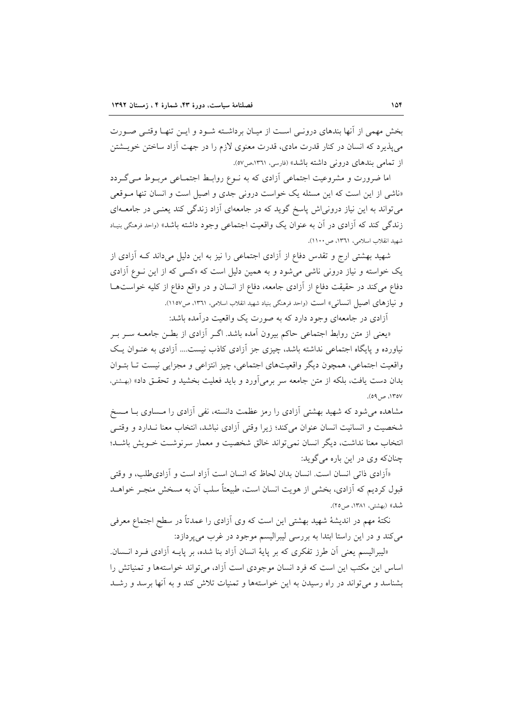بخش مهمی از آنها بندهای درونبی است از میـان برداشـته شـود و ایـن تنهـا وقتـی صـورت م ٍ يذير د كه انسان در كنار قدرت مادي، قدرت معنوي لازم را در جهت آزاد ساختن خويــشتن از تمامی بندهای درونی داشته باشد» (فارسی، ۱۳۶۱،ص۷۵).

اما ضرورت و مشروعیت اجتماعی آزادی که به نـوع روابـط اجتمـاعی مربـوط مـیگـردد «ناشی از این است که این مسئله یک خواست درونی جدی و اصیل است و انسان تنها مـوقعی می تواند به این نیاز درونی اش پاسخ گوید که در جامعهای آزاد زندگی کند یعنـی در جامعـهای زندگی کند که آزادی در آن به عنوان یک واقعیت اجتماعی وجود داشته باشد» (واحد فرهنگی بنیـاد شهيد انقلاب اسلامي، ١٣٦١، ص١١٠٠).

شهید بهشتی ارج و تقدس دفاع از آزادی اجتماعی را نیز به این دلیل میداند کـه آزادی از یک خواسته و نیاز درونی ناشی می شود و به همین دلیل است که «کسی که از این نوع آزادی دفاع می کند در حقیقت دفاع از آزادی جامعه، دفاع از انسان و در واقع دفاع از کلیه خواستها و نیازهای اصیل انسانی» است (واحد فرهنگی بنیاد شهید انقلاب اسلامی، ١٣٦١، ص١١٥٧).

آزادی در جامعهای وجود دارد که به صورت یک واقعیت درآمده باشد:

«یعنی از متن روابط اجتماعی حاکم بیرون آمده باشد. اگـر آزادی از بطـن جامعــه ســر بــر نیاورده و پایگاه اجتماعی نداشته باشد، چیزی جز آزادی کاذب نیست.... آزادی به عنـوان یـک واقعیت اجتماعی، همچون دیگر واقعیتهای اجتماعی، چیز انتزاعی و مجزایی نیست تـا بتـوان بدان دست یافت، بلکه از متن جامعه سر برمی آورد و باید فعلیت بخشید و تحقـق داد» (بهشتی، ۱۳۵۷، ص۹).

مشاهده می شود که شهید بهشتی آزادی را رمز عظمت دانسته، نفی آزادی را مـساوی بـا مـسخ شخصیت و انسانیت انسان عنوان میکند؛ زیرا وقتی اَزادی نباشد، انتخاب معنا نـدارد و وقتـی انتخاب معنا نداشت، دیگر انسان نمیتواند خالق شخصیت و معمار سرنوشت خـویش باشـد؛ چنانکه وي در اين باره مي گويد:

«أزادي ذاتي انسان است. انسان بدان لحاظ كه انسان است آزاد است و آزادي طلب، و وقتي قبول کردیم که آزادی، بخشی از هویت انسان است، طبیعتاً سلب آن به مسخش منجـر خواهــد شبل)) (بهشتر، ۱۳۸۱) ص ۲۵).

نکتهٔ مهم در اندیشهٔ شهید بهشتی این است که وی آزادی را عمدتاً در سطح اجتماع معرفی مي كند و در اين راستا ابتدا به بررسي ليبراليسم موجود در غرب مي پردازد:

«ليبراليسم يعني آن طرز تفكري كه بر ياية انسان آزاد بنا شده، بر يايــه آزادي فـرد انــسان. اساس این مکتب این است که فرد انسان موجودی است آزاد، می تواند خواستهها و تمنیاتش را بشناسد و می تواند در راه رسیدن به این خواستهها و تمنیات تلاش کند و به آنها برسد و رشـد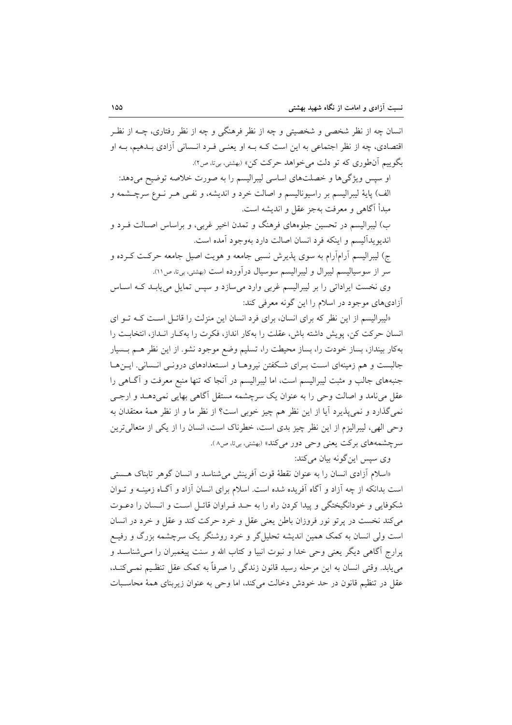انسان چه از نظر شخصی و شخصیتی و چه از نظر فرهنگی و چه از نظر رفتاری، چــه از نظــر اقتصادی، چه از نظر اجتماعی به این است کـه بــه او یعنــی فــرد انــسانی آزادی بــدهیم، بــه او بگوییم آنطوری که تو دلت می خواهد حرکت کن» (بهشتی، بیتا، ص۲).

او سپس ویژگیها و خصلتهای اساسی لیبرالیسم را به صورت خلاصه توضیح میدهد: الف) پایهٔ لیبرالیسم بر راسیونالیسم و اصالت خرد و اندیشه، و نفـی هـر نـوع سرچــشمه و مبدأ آگاهي و معرفت بهجز عقل و انديشه است. ب) لیبرالیسم در تحسین جلوههای فرهنگ و تمدن اخیر غربی، و براساس اصـالت فـرد و انديو پداليسم و اينكه فرد انسان اصالت دارد بهوجود آمده است. ج) لیبرالیسم آرامآرام به سوی پذیرش نسبی جامعه و هویت اصیل جامعه حرکت کـرده و سر از سوسیالیسم لیبرال و لیبرالیسم سوسیال درآورده است (بهشتی، بیتا، ص۱۱).

وی نخست ایراداتی را بر لیبرالیسم غربی وارد می سازد و سپس تمایل می پابـد کـه اسـاس أزادیهای موجود در اسلام را این گونه معرفی کند:

«لیبرالیسم از این نظر که برای انسان، برای فرد انسان این منزلت را قائـل اسـت کـه تـو ای انسان حرکت کن، پویش داشته باش، عقلت را بهکار انداز، فکرت را بهکـار انـداز، انتخابـت را بهکار بینداز، بساز خودت را، بساز محیطت را، تسلیم وضع موجود نشو. از این نظر هـم بـسیار جالبست و هم زمینهای است بـرای شـکفتن نیروهـا و اسـتعدادهای درونـی انـسانی. ایـنهـا جنبههای جالب و مثبت لیبرالیسم است، اما لیبرالیسم در آنجا که تنها منبع معرفت و آگـاهی را عقل می نامد و اصالت وحی را به عنوان یک سرچشمه مستقل آگاهی بهایی نمی دهـد و ارجــی نمي گذارد و نمي پذيرد آيا از اين نظر هم چيز خوبي است؟ از نظر ما و از نظر همهٔ معتقدان به وحی الهی، لیبرالیزم از این نظر چیز بدی است، خطرناک است، انسان را از یکی از متعالی ترین سرچشمههای برکت یعنی وحی دور میکند» (بهشتی، بیتا، ص۸).

وی سیس این گونه بیان میکند:

«اسلام آزادی انسان را به عنوان نقطهٔ قوت آفرینش می شناسد و انسان گوهر تابناک هستی است بدانکه از چه آزاد و آگاه آفریده شده است. اسلام برای انسان آزاد و آگـاه زمینــه و تــوان شکوفایی و خودانگیختگی و پیدا کردن راه را به حـد فـراوان قائـل اسـت و انـسان را دعـوت می کند نخست در پر تو نور فروزان باطن یعنی عقل و خرد حرکت کند و عقل و خرد در انسان است ولي انسان به كمک همين انديشه تحليل¢ و خرد روشنگر يک سرچشمه بزرگ و رفيـع یرارج آگاهی دیگر یعنی وحی خدا و نبوت انبیا و کتاب الله و سنت پیغمبران را مـی شناسـد و می یابد. وقتی انسان به این مرحله رسید قانون زندگی را صرفاً به کمک عقل تنظیم نمبی کنـد، عقل در تنظیم قانون در حد خودش دخالت می کند، اما وحی به عنوان زیربنای همهٔ محاسبات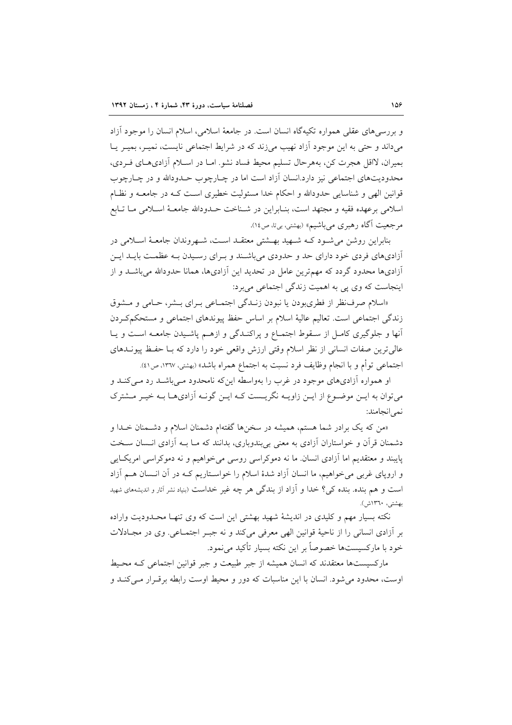و بررسی های عقلی همواره تکیهگاه انسان است. در جامعهٔ اسلامی، اسلام انسان را موجود آزاد می داند و حتی به این موجود آزاد نهیب می زند که در شرایط اجتماعی نایست، نمیــر، بمیـر یــا بميران، لااقل هجرت كن، بههرحال تسليم محيط فساد نشو. امـا در اسـلام آزادىهـاى فـردى، محدودیتهای اجتماعی نیز دارد.انسان آزاد است اما در چـارچوب حــدودالله و در چــارچوب قوانین الهی و شناسایی حدودالله و احکام خدا مسئولیت خطیری است کـه در جامعـه و نظـام اسلامی برعهده فقیه و مجتهد است، بنـابراین در شـناخت حـدودالله جامعـهٔ اسـلامی مـا تـابع مرجعیت آگاه رهبری میباشیم» (بهشتی، بیتا، ص١٤).

بنابراین روشن می شـود کـه شـهید بهـشتی معتقـد اسـت، شـهروندان جامعـهٔ اسـلامی در آزادیهای فردی خود دارای حد و حدودی میباشند و بـرای رسـیدن بـه عظمـت بایـد ایـن آزادیها محدود گردد که مهمترین عامل در تحدید این آزادیها، همانا حدودالله میباشـد و از اینجاست که وی یی به اهمیت زندگی اجتماعی می برد:

«اسلام صرف نظر از فطري بودن يا نبودن زنـدگي اجتمـاعي بـراي بـشر، حـامي و مـشوق زندگی اجتماعی است. تعالیم عالیهٔ اسلام بر اساس حفظ پیوندهای اجتماعی و مستحکمکردن أنها و جلوگیری کامل از سـقوط اجتمـاع و پراکنـدگی و ازهـم پاشـیدن جامعـه اسـت و یـا عالی ترین صفات انسانی از نظر اسلام وقتی ارزش واقعی خود را دارد که بـا حفـظ پیونــدهای اجتماعي توأم و با انجام وظايف فرد نسبت به اجتماع همراه باشد» (بهشتي، ١٣٦٧، ص٤١).

او همواره آزادیهای موجود در غرب را بهواسطه اینکه نامحدود مـیباشـد رد مـیکنـد و می توان به ایـن موضـوع از ایـن زاویــه نگریــست کــه ایــن گونــه آزادیهــا بــه خیــر مــشترک نمه انجامند:

«من که یک برادر شما هستم، همیشه در سخنها گفتهام دشمنان اسلام و دشـمنان خــدا و دشمنان قرآن و خواستاران آزادی به معنی بی بندوباری، بدانند که مـا بــه آزادی انــسان ســخت پایبند و معتقدیم اما آزادی انسان ما نه دموکراسی روسی می خواهیم و نه دموکراسی امریک ایی و اروپای غربی میخواهیم، ما انسان آزاد شدهٔ اسلام را خواسـتاریم کـه در آن انـسان هـم آزاد است و هم بنده. بنده ک<sub>ی؟</sub> خدا و آزاد از بندگی هر چه غیر خداست (بنیاد نشر آثار و اندیشههای شهید بهشتى، ١٣٦٠ش).

.<br>نکته بسیار مهم و کلیدی در اندیشهٔ شهید بهشتی این است که وی تنهـا محـدودیت واراده بر أزادي انساني را از ناحيهٔ قوانين الهي معرفي مي كند و نه جبـر اجتمـاعي. وي در مجـادلات خود با مارکسیستها خصوصاً بر این نکته بسیار تأکید می نمود.

مارکسیستها معتقدند که انسان همیشه از جبر طبیعت و جبر قوانین اجتماعی کـه محـیط اوست، محدود می شود. انسان با این مناسبات که دور و محیط اوست رابطه برقـرار مـی کنـد و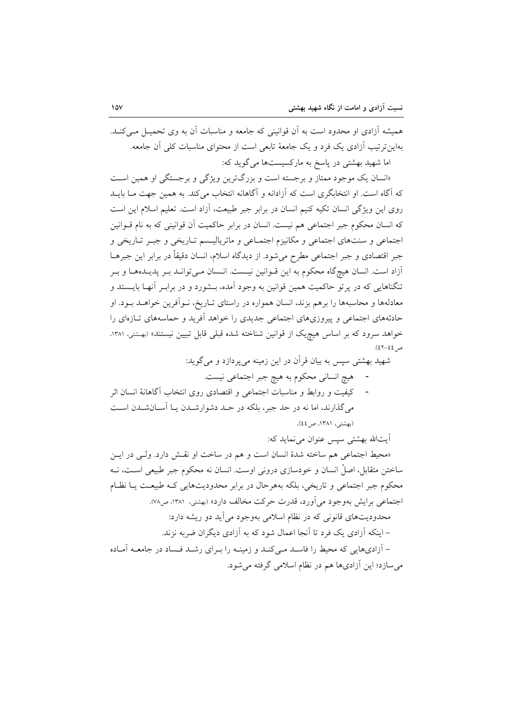همیشه آزادی او محدود است به آن قوانینی که جامعه و مناسبات آن به وی تحمیــل مــی کنــد. بهاین تریب آزادی یک فرد و یک جامعهٔ تابعی است از محتوای مناسبات کلی آن جامعه. اما شهید بهشتی در پاسخ به مارکسیستها می گوید که:

«انسان یک موجود ممتاز و برجسته است و بزرگترین ویژگی و برجستگی او همین است که آگاه است. او انتخابگری است که آزادانه و آگاهانه انتخاب می کند. به همین جهت مـا بایــد روی این ویژگی انسان تکیه کنیم انسان در برابر جبر طبیعت، آزاد است. تعلیم اسلام این است که انسان محکوم جبر اجتماعی هم نیست. انسان در برابر حاکمیت آن قوانینی که به نام قــوانین اجتماعی و سنتهای اجتماعی و مکانیزم اجتمـاعی و ماتریالیـسم تـاریخی و جبـر تـاریخی و جبر اقتصادی و جبر اجتماعی مطرح میشود. از دیدگاه اسلام، انسان دقیقاً در برابر این جبرهــا آزاد است. انسان هیچگاه محکوم به این قـوانین نیـست. انـسان مـیتوانـد بـر پدیـدههـا و بـر تنگناهایی که در یرتو حاکمیت همین قوانین به وجود آمده، بـشورد و در برابـر آنهـا بایــستد و معادلهها و محاسبهها را برهم بزند، انسان همواره در راستای تـاریخ، نـواَفرین خواهــد بـود. او حادثههای اجتماعی و پیروزیهای اجتماعی جدیدی را خواهد آفرید و حماسههای تازهای را خواهد سرود که بر اساس هیچیک از قوانین شناخته شده قبلی قابل تبیین نیستند» (بهشتی، ۱۳۸۱،  $(27 - 22)$ 

شهید بهشتی سپس به بیان قرآن در این زمینه می پردازد و می گوید:

هيچ انساني محكوم به هيچ جبر اجتماعي نيست.

کیفیت و روابط و مناسبات اجتماعی و اقتصادی روی انتخاب آگاهانهٔ انسان اثر  $\sim$   $-$ می گذارند، اما نه در حد جبر، بلکه در حـد دشوارشــدن بــا آســانشــدن اسـت (بهشتی، ۱۳۸۱، ص٤٤).

آيتالله بهشتى سپس عنوان مى نمايد كه:

می سازد؛ این آزادیها هم در نظام اسلامی گرفته می شود.

«محيط اجتماعي هم ساخته شدهٔ انسان است و هم در ساخت او نقش دارد. ولـي در ايـن ساختن متقابل، اصلْ انسان و خودسازی درونی اوست. انسان نه محکوم جبر طبیعی اسـت، نــه محکوم جبر اجتماعی و تاریخی، بلکه بههرحال در برابر محدودیتهایی کـه طبیعـت یــا نظـام اجتماعی برایش بهوجود می آورد، قدرت حرکت مخالف دارد» (بهشتی، ۱۳۸۱، ص۷۸). محدودیتهای قانونی که در نظام اسلامی بهوجود می آید دو ریشه دارد: – اینکه آزادی یک فرد تا آنجا اعمال شود که به آزادی دیگران ضربه نزند. – آزادیهایی که محیط را فاسـد مـیکنـد و زمینـه را بـرای رشـد فـساد در جامعـه آمـاده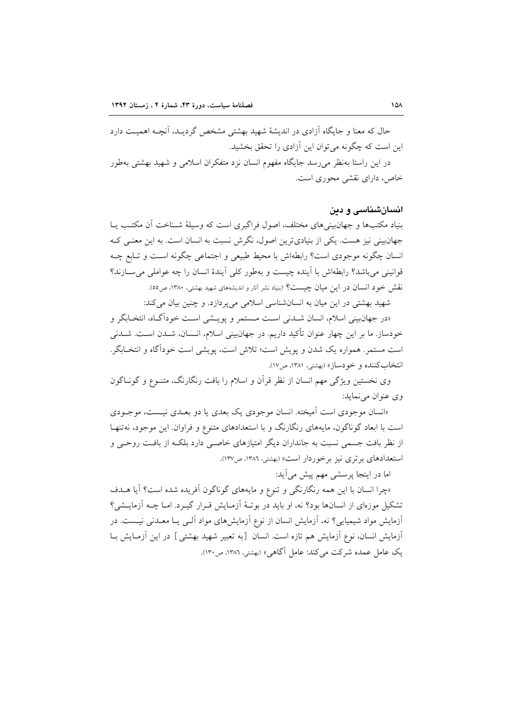حال که معنا و جایگاه آزادی در اندیشهٔ شهید بهشتی مشخص گردیـد، آنچــه اهمیــت دارد این است که چگونه می توان این آزادی را تحقق بخشید. در این راستا بهنظر می رسد جایگاه مفهوم انسان نزد متفکران اسلامی و شهید بهشتی بهطور خاص، دارای نقشی محوری است.

#### انسانشناسی و دین

بنیاد مکتبها و جهانبینی های مختلف، اصول فراگیری است که وسیلهٔ شـناخت آن مکتـب پـا جهان بینی نیز هست. یکی از بنیادیترین اصول، نگرش نسبت به انسان است. به این معنبی ک انسان چگونه موجودی است؟ رابطهاش با محیط طبیعی و اجتماعی چگونه است و تـابع چــه قوانینی می باشد؟ رابطهاش با آینده چیست و بهطور کلی آیندهٔ انسان را چه عواملی می سـازند؟ نقش خود انسان در این میان چیست؟ (بنیاد نشر آثار و اندیشههای شهید بهشتی، ۱۳۸۰، ص٥٥).

شهید بهشتی در این میان به انسانشناسی اسلامی میپردازد. و چنین بیان میکند:

«در جهانبینی اسلام، انسان شـدنی اسـت مـستمر و پویـشی اسـت خوداًگـاه، انتخـابگر و خودساز. ما بر این چهار عنوان تأکید داریم. در جهانبینی اسلام، انــسان، شــدن اســت. شــدنی است مستمر. همواره یک شدن و پویش است؛ تلاش است، پویشی است خودآگاه و انتخـابگر. انتخاب کننده و خودساز» (بهشتر، ۱۳۸۱، ص۱۷).

وی نخستین ویژگی مهم انسان از نظر قرآن و اسلام را بافت رنگارنگ، متنـوع و گونـاگون وي عنوان مي نمايد:

«انسان موجودی است آمیخته. انسان موجودی یک بعدی یا دو بعـدی نیـست، موجـودی است با ابعاد گوناگون، مایههای رنگارنگ و با استعدادهای متنوع و فراوان این موجود، نهتنها از نظر بافت جسمی نسبت به جانداران دیگر امتیازهای خاصبی دارد بلکـه از بافـت روحـی و استعدادهای بر تری نیز بر خوردار است» (بهشتی، ۱۳۸۲، ص۱۳۷).

اما در اینجا پرسشی مهم پیش میآید:

«چرا انسان با این همه رنگارنگی و تنوع و مایههای گوناگون آفریده شده است؟ آیا هـدف تشکیل موزمای از انسانها بود؟ نه، او باید در بوتهٔ آزمـایش قـرار گیـرد. امـا چــه آزمایــشی؟ آزمایش مواد شیمیایی؟ نه، آزمایش انسان از نوع آزمایشهای مواد آلـی یـا معــدنی نیــست. در أزمايش انسان، نوع أزمايش هم تازه است. انسان [به تعبير شهيد بهشتى] در اين أزمـايش بــا یک عامل عمده شرکت مے کند: عامل آگاهی» (بهشتی، ۱۳۸۲، ص۱۳۰).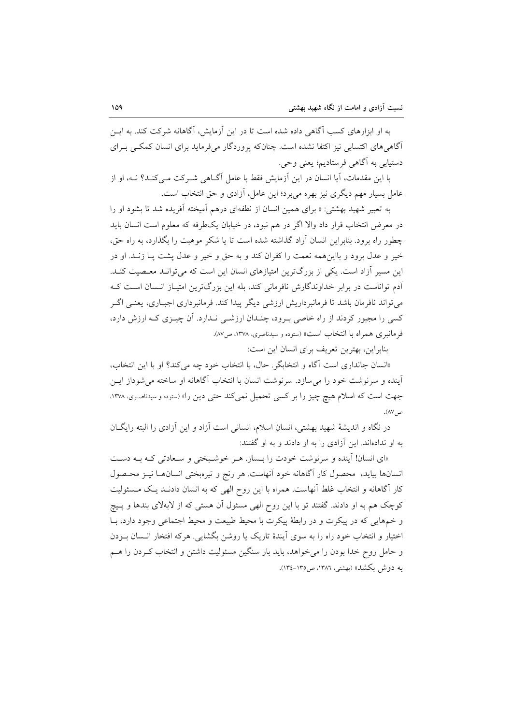به او ابزارهای کسب آگاهی داده شده است تا در این آزمایش، آگاهانه شرکت کند. به ایــن آگاهی های اکتسابی نیز اکتفا نشده است. چنانکه پروردگار می فرماید برای انسان کمکبی بـرای دستیابی به آگاهی فرستادیم؛ یعنی وحی.

با این مقدمات، آیا انسان در این آزمایش فقط با عامل آگــاهی شــرکت مــیکنــد؟ نــه، او از عامل بسیار مهم دیگری نیز بهره میبرد؛ این عامل، آزادی و حق انتخاب است.

به تعبیر شهید بهشتی: « برای همین انسان از نطفهای درهم آمیخته آفریده شد تا بشود او را در معرض انتخاب قرار داد والا اگر در هم نبود، در خیابان یکطرفه که معلوم است انسان باید چطور راه برود. بنابراین انسان آزاد گذاشته شده است تا یا شکر موهبت را بگذارد، به راه حق، خير و عدل برود و بااينهمه نعمت را كفران كند و به حق و خير و عدل پشت پـا زنـد. او در این مسیر آزاد است. یکی از بزرگترین امتیازهای انسان این است که می توانـد معـصیت کنـد. آدم تواناست در برابر خداوندگارش نافرمانی کند، بله این بزرگترین امتیـاز انـسان اسـت کـه می تواند نافرمان باشد تا فرمانبرداریش ارزشی دیگر پیدا کند. فرمانبرداری اجباری، یعنـی اگـر کسی را مجبور کردند از راه خاصی بـرود، چنـدان ارزشـی نـدارد. آن چیـزی کـه ارزش دارد، فرمانبري همراه با انتخاب است» (ستوده و سيدناصري، ١٣٧٨، ص٨٧).

بنابراین، بهترین تعریف برای انسان این است:

«انسان جانداری است آگاه و انتخابگر . حال، با انتخاب خود چه میکند؟ او با این انتخاب، آینده و سرنوشت خود را میسازد. سرنوشت انسان با انتخاب آگاهانه او ساخته میشوداز ایس جهت است که اسلام هیچ چیز را بر کسی تحمیل نمی کند حتی دین را» (ستوده و سیدناصری، ۱۳۷۸، ص ۸۷).

در نگاه و اندیشهٔ شهید بهشتی، انسانِ اسلام، انسانی است آزاد و این آزادی را البته رایگـان به او ندادهاند. این آزادی را به او دادند و به او گفتند:

«ای انسان! آینده و سرنوشت خودت را بـساز. هـر خوشـبختی و سـعادتی كـه بـه دسـت انسانها بیاید، محصول کار آگاهانه خود آنهاست. هر رنج و تیرهبختی انسانهـا نیـز محـصول کار آگاهانه و انتخاب غلط آنهاست. همراه با این روح الهی که به انسان دادنـد یـک مـسئولیت کوچک هم به او دادند. گفتند تو با این روح الهی مسئول آن هستی که از لابهلای بندها و پـیج و خمهایی که در پیکرت و در رابطهٔ پیکرت با محیط طبیعت و محیط اجتماعی وجود دارد، بـا اختیار و انتخاب خود راه را به سوی آیندهٔ تاریک یا روشن بگشایی. هرکه افتخار انــسان بــودن و حامل روح خدا بودن را می خواهد، باید بار سنگین مسئولیت داشتن و انتخاب کـردن را هــم به دوش بکشد» (بهشتی، ۱۳۸٦، ص۱۳۵–۱۳٤).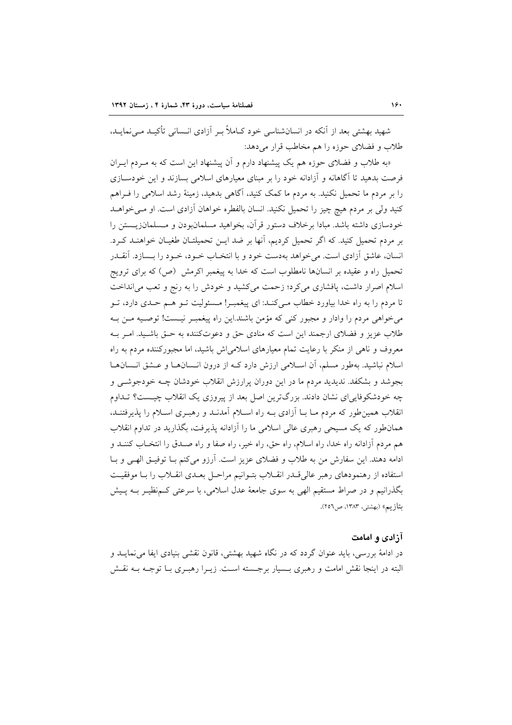شهید بهشتی بعد از آنکه در انسانشناسی خود کـاملاً بـر آزادی انـسانی تأکیـد مـی نمایـد. طلاب و فضلای حوزه را هم مخاطب قرار می دهد:

«به طلاب و فضلای حوزه هم یک پیشنهاد دارم و آن پیشنهاد این است که به مـردم ایـران فرصت بدهید تا آگاهانه و آزادانه خود را بر مبنای معیارهای اسلامی بسازند و این خودسـازی را بر مردم ما تحمیل نکنید. به مردم ما کمک کنید، آگاهی بدهید، زمینهٔ رشد اسلامی را فــراهـم کنید ولی بر مردم هیچ چیز را تحمیل نکنید. انسان بالفطره خواهان آزادی است. او مـیخواهــد خودسازی داشته باشد. مبادا برخلاف دستور قرآن، بخواهید مسلمانبودن و مـسلمانزیـستن را بر مردم تحمیل کنید. که اگر تحمیل کردیم، آنها بر ضد ایـن تحمیلتـان طغیـان خواهنـد کـرد. انسان، عاشق آزادی است. میخواهد بهدست خود و با انتخـاب خــود، خــود را بــسازد. آنقــدر تحمیل راه و عقیده بر انسانها نامطلوب است که خدا به پیغمبر اکرمش (ص) که برای ترویج اسلام اصرار داشت، یافشاری می کرد؛ زحمت می کشید و خودش را به رنج و تعب می انداخت تا مردم را به راه خدا بیاورد خطاب مـیکنـد: ای پیغمبـر! مـسئولیت تـو هـم حـدی دارد، تـو می خواهی مردم را وادار و مجبور کنی که مؤمن باشند.این راه پیغمبـر نیـست! توصـیه مـن بـه طلاب عزیز و فضلای ارجمند این است که منادی حق و دعوتکننده به حـق باشـید. امـر بـه معروف و ناهی از منکر با رعایت تمام معیارهای اسلامیاش باشید، اما مجبورکننده مردم به راه اسلام نباشید. بهطور مسلم، آن اسـلامی ارزش دارد کـه از درون انـسانهـا و عـشق انـسانهـا بجوشد و بشکفد. ندیدید مردم ما در این دوران پرارزش انقلاب خودشان چــه خودجوشــی و چه خودشکوفاییای نشان دادند. بزرگترین اصل بعد از پیروزی یک انقلاب چیست؟ تـداوم انقلاب همین طور که مردم مــا بــا آزادی بــه راه اســلام آمدنــد و رهبــری اســلام را پذیرفتنــد، همان طور که یک مسیحی رهبری عالی اسلامی ما را آزادانه پذیرفت، بگذارید در تداوم انقلاب هم مردم آزادانه راه خدا، راه اسلام، راه حق، راه خير، راه صفا و راه صـدق را انتخــاب كننــد و ادامه دهند. این سفارش من به طلاب و فضلای عزیز است. آرزو میکنم بـا توفیـق الهـی و بـا استفاده از رهنمودهای رهبر عالی قبدر انقبلاب بتبوانیم مراحل بعبدی انقبلاب را ببا موفقیت بگذرانیم و در صراط مستقیم الهی به سوی جامعهٔ عدل اسلامی، با سرعتی کـمنظیـر بـه پـیش بتازيم» (بهشتي، ١٣٨٣، ص٢٥٦).

## آزادی و امامت

در ادامهٔ بررسی، باید عنوان گردد که در نگاه شهید بهشتی، قانون نقشی بنیادی ایفا می نمایــد و البته در اینجا نقش امامت و رهبری بـسیار برجـسته اسـت. زیــرا رهبــری بــا توجــه بــه نقــش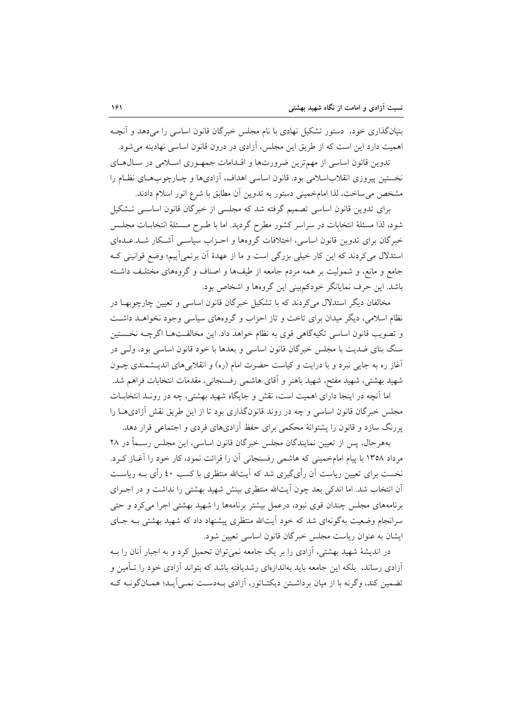بنیانگذاری خود، دستور تشکیل نهادی با نام مجلس خبرگان قانون اساسی را می،دهد و آنچـه اهمیت دارد این است که از طریق این مجلس، آزادی در درون قانون اساسی نهادینه می شود.

تدوین قانون اساسی از مهمترین ضرورتها و اقلدامات جمهوری اسلامی در سال های نخستین پیروزی انقلاباسلامی بود. قانون اساسی اهداف، آزادیها و چـارچوبهـای نظـام را مشخص می ساخت، لذا امامخمینی دستور به تدوین آن مطابق با شرع انور اسلام دادند.

برای تدوین قانون اساسی تصمیم گرفته شد که مجلسی از خبرگان قانون اساسی تـشکیل شود، لذا مسئلهٔ انتخابات در سراسر کشور مطرح گردید. اما با طـرح مـسئلهٔ انتخابــات مجلــس خبرگان برای تدوین قانون اساسی، اختلافات گروهها و احـزاب سیاسـبی آشـکار شـد.عــدهای استدلال می کردند که این کار خیلی بزرگی است و ما از عهدهٔ آن برنمیآییم؛ وضع قوانینی ک جامع و مانع، و شمولیت بر همه مردم جامعه از طیفها و اصناف و گروههای مختلف داشته باشد. این حرف نمایانگر خودکم بینی این گروهها و اشخاص بود.

مخالفان دیگر استدلال میکردند که با تشکیل خبرگان قانون اساسی و تعیین چارچوبها در نظام اسلامی، دیگر میدان برای تاخت و تاز احزاب و گروههای سیاسی وجود نخواهـد داشـت و تصويب قانون اساسي تكيهگاهي قوى به نظام خواهد داد. اين مخالفتها اگرچـه نخـستين سنگ بنای ضدیت با مجلس خبرگان قانون اساسی و بعدها با خود قانون اساسی بود، ولـی در آغاز ره به جایی نبرد و با درایت و کیاست حضرت امام (ره) و انقلابیهای اندیـشمندی چـون شهید بهشتی، شهید مفتح، شهید باهنر و آقای هاشمی رفسنجانی، مقدمات انتخابات فراهم شد.

اما آنچه در اینجا دارای اهمیت است، نقش و جایگاه شهید بهشتی، چه در رونـد انتخابــات مجلس خبرگان قانون اساسی و چه در روند قانونگذاری بود تا از این طریق نقش آزادی هـا را پررنگ سازد و قانون را پشتوانهٔ محکمی برای حفظ آزادیهای فردی و اجتماعی قرار دهد.

بههرحال، پس از تعیین نمایندگان مجلس خبرگان قانون اساسی، این مجلس رسـماً در ۲۸ مرداد ۱۳۵۸ با پیام امامخمینی که هاشمی رفسنجانی آن را قرائت نمود، کار خود را آغـاز کـرد. نخست برای تعیین ریاست آن رأیگیری شد که آیتالله منتظری با کسب ٤٠ رأی بــه ریاســت آن انتخاب شد. اما اندکی بعد چون آیتالله منتظری بینش شهید بهشتی را نداشت و در اجـرای برنامههای مجلس چندان قوی نبود، درعمل بیشتر برنامهها را شهید بهشتی اجرا میکرد و حتی سرانجام وضعیت بهگونهای شد که خود آیتالله منتظری پیشنهاد داد که شهید بهشتی بـه جـای ایشان به عنوان ریاست مجلس خبرگان قانون اساسی تعیین شود.

در اندیشهٔ شهید بهشتی، آزادی را بر یک جامعه نمی توان تحمیل کرد و به اجبار آنان را بـه آزادی رساند، بلکه این جامعه باید بهاندازهای رشدیافته باشد که بتواند آزادی خود را تـأمین و تضمین کند، وگرنه با از میان برداشتن دیکتـاتور، آزادی بـهدسـت نمـی آیـد؛ همـانگونــه کـه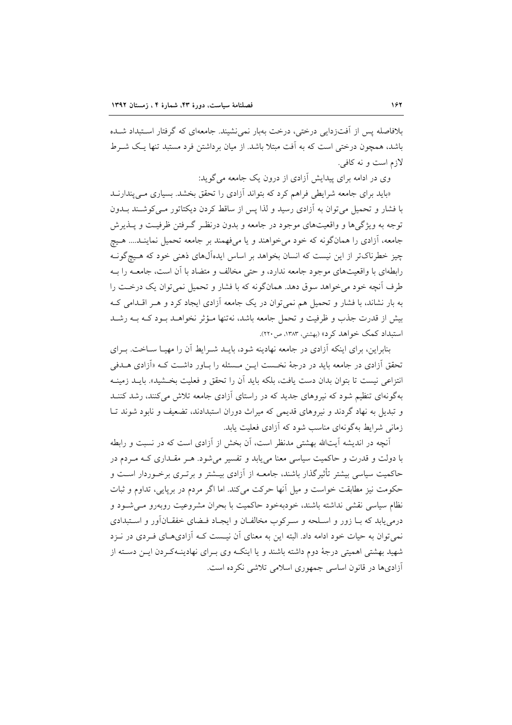بلافاصله پس از آفتزدایی درختی، درخت بهبار نمی نشیند. جامعهای که گرفتار استبداد شـده باشد، همچون درختی است که به آفت مبتلا باشد. از میان برداشتن فرد مستبد تنها یک شـرط لازم است و نه کافی.

وی در ادامه برای پیدایش آزادی از درون یک جامعه می گوید:

«باید برای جامعه شرایطی فراهم کرد که بتواند آزادی را تحقق بخشد. بسیاری مـی پندارنــد با فشار و تحمیل می توان به آزادی رسید و لذا پس از ساقط کردن دیکتاتور مـیکوشـند بــدون توجه به ویژگیها و واقعیتهای موجود در جامعه و بدون درنظـر گـرفتن ظرفیـت و پــذیرش جامعه، آزادي را همانگونه كه خود مي خواهند و يا ميفهمند بر جامعه تحميل نماينـد.... هـيچ چیز خطرناکتر از این نیست که انسان بخواهد بر اساس ایدهآلهای ذهنی خود که هـیچگونـه رابطهای با واقعیتهای موجود جامعه ندارد، و حتی مخالف و متضاد با آن است، جامعــه را بــه طرف آنچه خود می خواهد سوق دهد. همانگونه که با فشار و تحمیل نمی توان یک درخـت را به بار نشاند، با فشار و تحمیل هم نمی توان در یک جامعه اَزادی ایجاد کرد و هـر اقــدامی کــه بیش از قدرت جذب و ظرفیت و تحمل جامعه باشد، نهتنها مـؤثر نخواهــد بـود کــه بــه رشــد استبداد کمک خواهد کرد» (بهشتی، ۱۳۸۳، ص۲۲۰).

بنابراین، برای اینکه آزادی در جامعه نهادینه شود، بایـد شـرابط آن را مهیـا سـاخت. بـرای تحقق اَزادی در جامعه باید در درجهٔ نخـست ایــن مـسئله را بــاور داشــت کــه «اَزادی هــدفی انتزاعی نیست تا بتوان بدان دست یافت، بلکه باید آن را تحقق و فعلیت بخشید». بایــد زمینــه بهگونهای تنظیم شود که نیروهای جدید که در راستای آزادی جامعه تلاش میکنند، رشد کننـد و تبدیل به نهاد گردند و نیروهای قدیمی که میراث دوران استبدادند، تضعیف و نابود شوند تبا زمانی شرایط بهگونهای مناسب شود که آزادی فعلیت یابد.

آنچه در اندیشه آیتالله بهشتی مدنظر است، آن بخش از آزادی است که در نسبت و رابطه با دولت و قدرت و حاکمیت سیاسی معنا می یابد و تفسیر می شود. هـر مقـداری کـه مـردم در حاکمیت سیاسی بیشتر تأثیرگذار باشند، جامعـه از آزادی بیــشتر و برتــری برخــوردار اســت و حکومت نیز مطابقت خواست و میل آنها حرکت میکند. اما اگر مردم در برپایی، تداوم و ثبات نظام سیاسی نقشی نداشته باشند، خودبهخود حاکمیت با بحران مشروعیت روبهرو مے شود و درمی یابد که بـا زور و اسـلحه و سـرکوب مخالفـان و ایجـاد فـضای خفقـانآور و اسـتبدادی نمی توان به حیات خود ادامه داد. البته این به معنای آن نیـست کــه آزادی،هــای فــردی در نــزد شهید بهشتی اهمیتی درجهٔ دوم داشته باشند و یا اینکـه وی بـرای نهادینـهکـردن ایـن دسـته از آزادیها در قانون اساسی جمهوری اسلامی تلاشی نکرده است.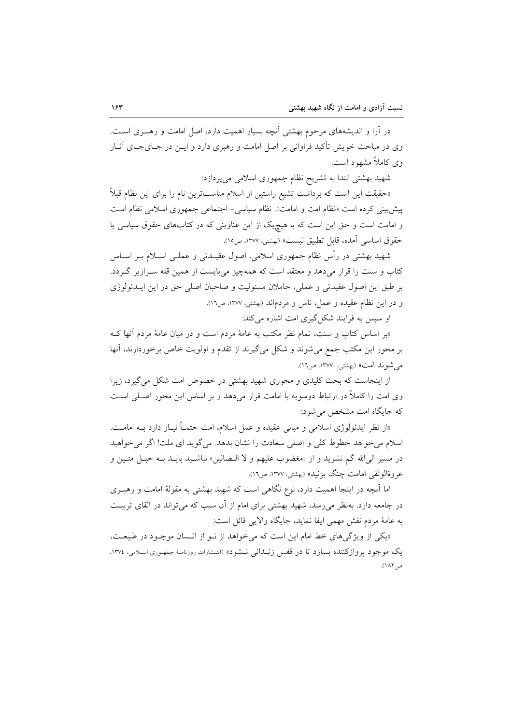در آرا و اندیشههای مرحوم بهشتی آنچه بسیار اهمیت دارد، اصل امامت و رهبـری اسـت. وی در مباحث خویش تأکید فراوانی بر اصل امامت و رهبری دارد و ایــن در جــایجــای آثــار وی کاملاً مشهود است.

شهید بهشتی ابتدا به تشریح نظام جمهوری اسلامی میپردازد:

«حقیقت این است که برداشت تشیع راستین از اسلام مناسبترین نام را برای این نظام قبلاً پیشبینی کرده است «نظام امت و امامت». نظام سیاسی- اجتماعی جمهوری اسلامی نظام امت و امامت است و حق این است که با هیچ یک از این عناوینی که در کتابهای حقوق سیاسی یا حقوق اساسي آمده، قابل تطبيق نيست» (بهشتي، ١٣٧٧، ص١٥).

شهید بهشتی در رأس نظام جمهوری اسلامی، اصول عقیـدتی و عملــی اســلام بــر اســاس کتاب و سنت را قرار میدهد و معتقد است که همهچیز میبایست از همین قله سـرازیر گـردد. بر طبق این اصول عقیدتی و عملی، حاملان مسئولیت و صاحبان اصلی حق در این ایــدئولوژی و در این نظام عقیده و عمل، ناس و مردماند (بهشتی، ۱۳۷۷، ص١٦).

او سیس به فرایند شکل گیری امت اشاره می کند:

«بر اساس کتاب و سنت، تمام نظر مکتب به عامهٔ مردم است و در میان عامهٔ مردم آنها ک بر محور این مکتب جمع میشوند و شکل میگیرند از تقدم و اولویت خاص برخوردارند، آنها مے شوند امت» (بھشتی، ۱۳۷۷، ص ۱٦).

از اینجاست که بحث کلیدی و محوری شهید بهشتی در خصوص امت شکل میگیرد، زیرا وی امت را کاملاً در ارتباط دوسویه با امامت قرار میدهد و بر اساس این محور اصـلی اسـت که جایگاه امت مشخص می شود:

«از نظر ایدئولوژی اسلامی و مبانی عقیده و عمل اسلام، امت حتمـاً نیــاز دارد بــه امامــت. اسلام می خواهد خطوط کلی و اصلی سعادت را نشان بدهد. می گوید ای ملت! اگر می خواهید در مسير الى الله گم نشويد و از «مغضوب عليهم و لا الـضالين» نباشـيد بايــد بــه حبــل متــين و عروهٔالوثقی امامت چنگ بزنید» (بهشتی، ۱۳۷۷، ص۱۲).

اما آنچه در اینجا اهمیت دارد، نوع نگاهی است که شهید بهشتی به مقولهٔ امامت و رهبـری در جامعه دارد. بهنظر می رسد، شهید بهشتی برای امام از آن سبب که می تواند در القای تربیت به عامهٔ مردم نقش مهمی ایفا نماید، جایگاه والایی قائل است:

«یکی از ویژگیهای خط امام این است که می خواهد از نـو از انـسان موجـود در طبیعـت، يک موجود پروازکننده بسازد تا در قفس زنـداني نـشود» (انتـشارات روزنامـهٔ جمهـوري اسـلامي، ١٣٧٤، ص ١٨٢).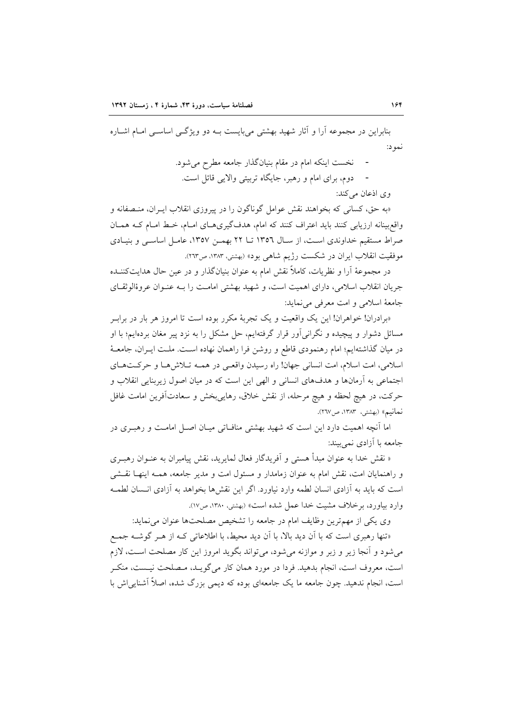بنابراین در مجموعه آرا و آثار شهید بهشتی می بایست بـه دو ویژگــی اساســی امــام اشــاره نمو د:

- نخست اینکه امام در مقام بنیانگذار جامعه مطرح می شود.
- دوم، برای امام و رهبر، جایگاه تربیتی والایی قائل است.

وی اذعان مے کند:

«به حق، کسانی که بخواهند نقش عوامل گوناگون را در پیروزی انقلاب ایـران، منـصفانه و واقع بینانه ارزیابی کنند باید اعتراف کنند که امام، هدفگیری هـای امـام، خـط امـام کـه همـان صراط مستقیم خداوندی است، از سال ۱۳۵۲ تــا ۲۲ بهمـن ۱۳۵۷، عامـل اساســی و بنیــادی موفقيت انقلاب ايران در شكست رژيم شاهي بود» (بهشتي، ١٣٨٣، ص٢٦٣).

در مجموعهٔ آرا و نظریات، کاملاً نقش امام به عنوان بنیانگذار و در عین حال هدایتکننــده جريان انقلاب اسلامي، داراي اهميت است، و شهيد بهشتي امامت را بـه عنـوان عروةالوثقـاي جامعهٔ اسلامی و امت معرفی می نماید:

«برادران! خواهران! این یک واقعیت و یک تجربهٔ مکرر بوده است تا امروز هر بار در براب مسائل دشوار و پیچیده و نگرانی اَور قرار گرفتهایم، حل مشکل را به نزد پیر مغان بردهایم؛ با او در میان گذاشتهایم؛ امام رهنمودی قاطع و روشن فرا راهمان نهاده است. ملـت ایــران، جامعــهٔ اسلامي، امت اسلام، امت انساني جهان! راه رسيدن واقعي در همـه تـلاش٨هـا و حركـتهـاي اجتماعی به آرمانها و هدفهای انسانی و الهی این است که در میان اصول زیربنایی انقلاب و حركت، در هيچ لحظه و هيچ مرحله، از نقش خلاق، رهايي بخش و سعادتآفرين امامت غافل نعانيم» (بهشتي، ١٣٨٣، ص٢٦٧).

اما آنچه اهمیت دارد این است که شهید بهشتی منافـاتی میـان اصـل امامـت و رهبـری در جامعه با آزادی نمی بیند:

« نقش خدا به عنوان مبدأ هستي و آفريدگار فعال لمايريد، نقش پيامبران به عنـوان رهبـري و راهنمایان امت، نقش امام به عنوان زمامدار و مسئول امت و مدیر جامعه، همـه اینهـا نقـشی است که باید به آزادی انسان لطمه وارد نیاورد. اگر این نقش ها بخواهد به آزادی انــسان لطمــه وارد بیاورد، برخلاف مشبت خدا عمل شده است» (بهشته، ۱۳۸۰، ص۱۷).

وی یکی از مهمترین وظایف امام در جامعه را تشخیص مصلحتها عنوان می نماید:

«تنها رهبری است که با آن دید بالا، با آن دید محیط، با اطلاعاتی کـه از هـر گوشــه جمـع می شود و آنجا زیر و زبر و موازنه می شود، می تواند بگوید امروز این کار مصلحت اسـت، لازم است، معروف است، انجام بدهید. فردا در مورد همان کار می گویـد، مـصلحت نیـست، منکـر است، انجام ندهید. چون جامعه ما یک جامعهای بوده که دیمی بزرگ شده، اصلاً آشنایی اش با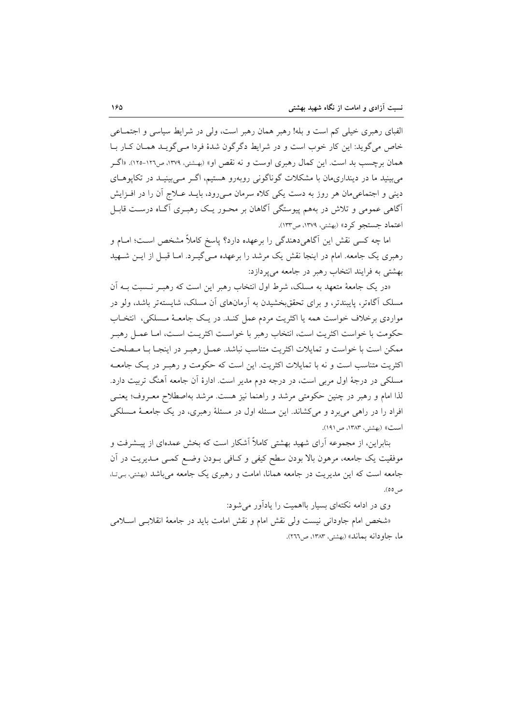الفبای رهبری خیلی کم است و بله! رهبر همان رهبر است، ولی در شرایط سیاسی و اجتمــاعی خاص مے گوید: این کار خوب است و در شرایط دگر گون شدۂ فردا مے گویید همیان کیار یا همان برچسب بد است. این کمال رهبری اوست و نه نقص او» (بهـشتی، ۱۳۷۹، ص۱۲۱-۱۲۵). «اگــر می بینید ما در دینداریمان با مشکلات گوناگونی روبهرو هستیم، اگـر مـی بینیـد در تکاپوهـای دینی و اجتماعی مان هر روز به دست یکی کلاه سرمان مـی(ود، بایــد عــلاج آن را در افــزایش آگاهی عمومی و تلاش در بههم پیوستگی آگاهان بر محـور یـک رهبـری آگـاه درسـت قابـل اعتماد جستجو کرد» (بهشتی، ۱۳۷۹، ص۱۳۳).

اما چه کسی نقش این آگاهی دهندگی را برعهده دارد؟ پاسخ کاملاً مشخص است؛ امــام و رهبری یک جامعه. امام در اینجا نقش یک مرشد را برعهده مـیگیــرد. امــا قبــل از ایــن شــهید بهشتی به فرایند انتخاب رهبر در جامعه می پردازد:

«در یک جامعهٔ متعهد به مسلک، شرط اول انتخاب رهبر این است که رهب نـسبت بــه آن مسلک آگاهتر، پایبندتر، و برای تحققبخشیدن به آرمانهای آن مسلک، شایستهتر باشد، ولو در مواردی برخلاف خواست همه یا اکثریت مردم عمل کنـد. در یـک جامعـهٔ مـسلکی، انتخـاب حكومت با خواست اكثريت است، انتخاب رهبر با خواست اكثريت است، امـا عمـل رهبـر ممکن است با خواست و تمایلات اکثریت متناسب نباشد. عمـل رهبـر در اینجـا بـا مـصلحت اکثریت متناسب است و نه با تمایلات اکثریت. این است که حکومت و رهب در یک جامعیه مسلکی در درجهٔ اول مربی است، در درجه دوم مدیر است. ادارهٔ آن جامعه آهنگ تربیت دارد. لذا امام و رهبر در چنین حکومتی مرشد و راهنما نیز هست. مرشد بهاصطلاح معـروف؛ یعنـی افراد را در راهی می برد و می کشاند. این مسئله اول در مسئلهٔ رهبری، در یک جامعـهٔ مـسلکی است» (بهشتی، ۱۳۸۳، ص ۱۹۱).

بنابراین، از مجموعه آرای شهید بهشتی کاملاً آشکار است که بخش عمدهای از پیــشرفت و موفقیت یک جامعه، مرهون بالا بودن سطح کیفی و کـافی بـودن وضـع کمـی مـدیریت در آن جامعه است که این مدیریت در جامعه همانا، امامت و رهبری یک جامعه میباشد (بهشتی، بی تا، ص ٥٥).

وی در ادامه نکتهای بسیار بااهمیت را بادآور می شود:

«شخص امام جاودانی نیست ولی نقش امام و نقش امامت باید در جامعهٔ انقلابسی اسلامی ما، جاو دانه بماند» (بهشتر، ۱۳۸۳، ص۲۶۶).